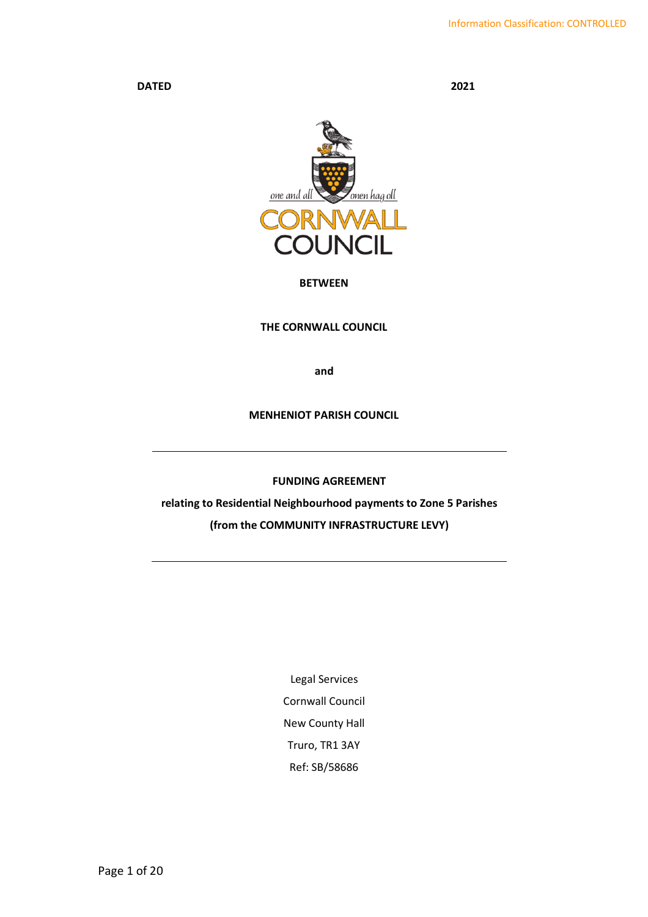DATED 2021



# BETWEEN

# THE CORNWALL COUNCIL

and

# MENHENIOT PARISH COUNCIL

FUNDING AGREEMENT

relating to Residential Neighbourhood payments to Zone 5 Parishes (from the COMMUNITY INFRASTRUCTURE LEVY)

> Legal Services Cornwall Council New County Hall Truro, TR1 3AY Ref: SB/58686

Page 1 of 20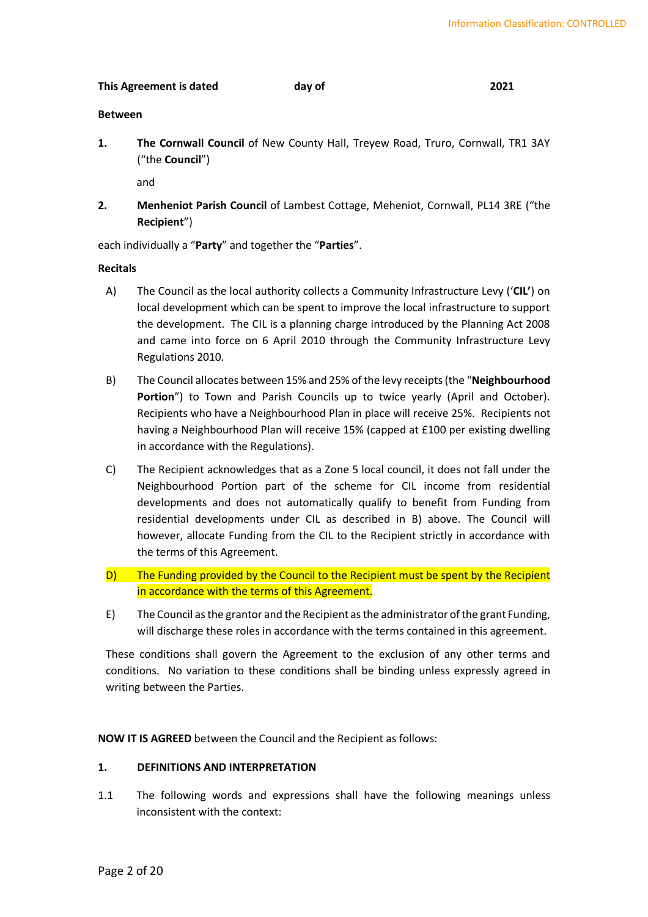# This Agreement is dated day of 2021

# Between

1. The Cornwall Council of New County Hall, Treyew Road, Truro, Cornwall, TR1 3AY ("the Council")

and

2. Menheniot Parish Council of Lambest Cottage, Meheniot, Cornwall, PL14 3RE ("the Recipient")

each individually a "Party" and together the "Parties".

# Recitals

- A) The Council as the local authority collects a Community Infrastructure Levy ('CIL') on local development which can be spent to improve the local infrastructure to support the development. The CIL is a planning charge introduced by the Planning Act 2008 and came into force on 6 April 2010 through the Community Infrastructure Levy Regulations 2010.
- B) The Council allocates between 15% and 25% of the levy receipts (the "Neighbourhood Portion") to Town and Parish Councils up to twice yearly (April and October). Recipients who have a Neighbourhood Plan in place will receive 25%. Recipients not having a Neighbourhood Plan will receive 15% (capped at £100 per existing dwelling in accordance with the Regulations).
- C) The Recipient acknowledges that as a Zone 5 local council, it does not fall under the Neighbourhood Portion part of the scheme for CIL income from residential developments and does not automatically qualify to benefit from Funding from residential developments under CIL as described in B) above. The Council will however, allocate Funding from the CIL to the Recipient strictly in accordance with the terms of this Agreement.
- D) The Funding provided by the Council to the Recipient must be spent by the Recipient in accordance with the terms of this Agreement.
- E) The Council as the grantor and the Recipient as the administrator of the grant Funding, will discharge these roles in accordance with the terms contained in this agreement.

These conditions shall govern the Agreement to the exclusion of any other terms and conditions. No variation to these conditions shall be binding unless expressly agreed in writing between the Parties.

NOW IT IS AGREED between the Council and the Recipient as follows:

# 1. DEFINITIONS AND INTERPRETATION

1.1 The following words and expressions shall have the following meanings unless inconsistent with the context: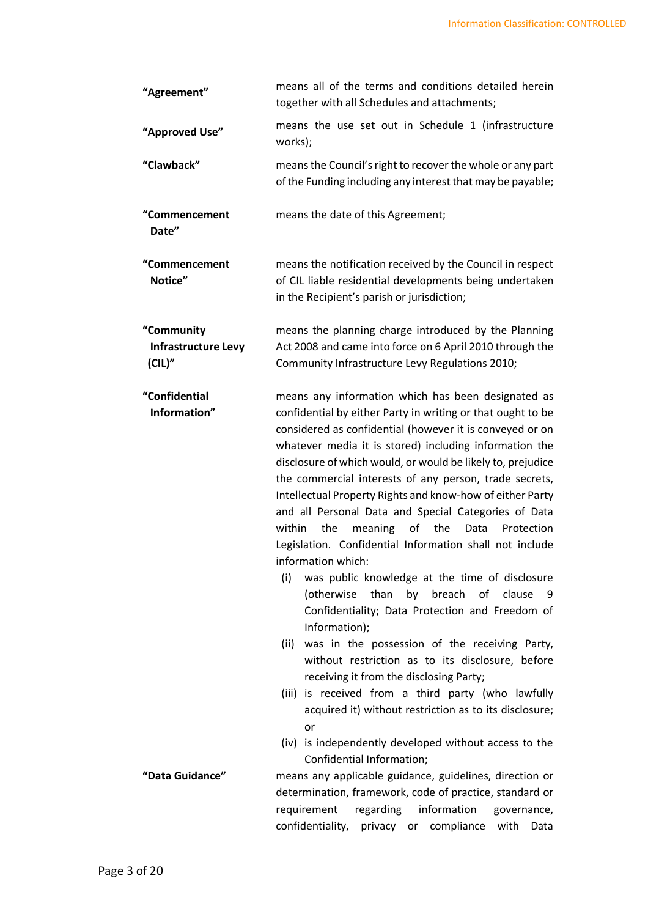| "Agreement"                                 | means all of the terms and conditions detailed herein<br>together with all Schedules and attachments;                                                                                                                                                                                                                                                                                                                                                                                                                                                                                                                                                                                                                                                                                                                                                                                                                                                                                                                                                                                                                                                                                       |  |  |  |
|---------------------------------------------|---------------------------------------------------------------------------------------------------------------------------------------------------------------------------------------------------------------------------------------------------------------------------------------------------------------------------------------------------------------------------------------------------------------------------------------------------------------------------------------------------------------------------------------------------------------------------------------------------------------------------------------------------------------------------------------------------------------------------------------------------------------------------------------------------------------------------------------------------------------------------------------------------------------------------------------------------------------------------------------------------------------------------------------------------------------------------------------------------------------------------------------------------------------------------------------------|--|--|--|
| "Approved Use"                              | means the use set out in Schedule 1 (infrastructure<br>works);                                                                                                                                                                                                                                                                                                                                                                                                                                                                                                                                                                                                                                                                                                                                                                                                                                                                                                                                                                                                                                                                                                                              |  |  |  |
| "Clawback"                                  | means the Council's right to recover the whole or any part<br>of the Funding including any interest that may be payable;                                                                                                                                                                                                                                                                                                                                                                                                                                                                                                                                                                                                                                                                                                                                                                                                                                                                                                                                                                                                                                                                    |  |  |  |
| "Commencement<br>Date"                      | means the date of this Agreement;                                                                                                                                                                                                                                                                                                                                                                                                                                                                                                                                                                                                                                                                                                                                                                                                                                                                                                                                                                                                                                                                                                                                                           |  |  |  |
| "Commencement<br>Notice"                    | means the notification received by the Council in respect<br>of CIL liable residential developments being undertaken<br>in the Recipient's parish or jurisdiction;                                                                                                                                                                                                                                                                                                                                                                                                                                                                                                                                                                                                                                                                                                                                                                                                                                                                                                                                                                                                                          |  |  |  |
| "Community<br>Infrastructure Levy<br>(CIL)" | means the planning charge introduced by the Planning<br>Act 2008 and came into force on 6 April 2010 through the<br>Community Infrastructure Levy Regulations 2010;                                                                                                                                                                                                                                                                                                                                                                                                                                                                                                                                                                                                                                                                                                                                                                                                                                                                                                                                                                                                                         |  |  |  |
| "Confidential<br>Information"               | means any information which has been designated as<br>confidential by either Party in writing or that ought to be<br>considered as confidential (however it is conveyed or on<br>whatever media it is stored) including information the<br>disclosure of which would, or would be likely to, prejudice<br>the commercial interests of any person, trade secrets,<br>Intellectual Property Rights and know-how of either Party<br>and all Personal Data and Special Categories of Data<br>within<br>the<br>of<br>meaning<br>the<br>Protection<br>Data<br>Legislation. Confidential Information shall not include<br>information which:<br>was public knowledge at the time of disclosure<br>(i)<br>(otherwise<br>than<br>by breach of<br>clause<br>9<br>Confidentiality; Data Protection and Freedom of<br>Information);<br>was in the possession of the receiving Party,<br>(ii)<br>without restriction as to its disclosure, before<br>receiving it from the disclosing Party;<br>(iii) is received from a third party (who lawfully<br>acquired it) without restriction as to its disclosure;<br>or<br>(iv) is independently developed without access to the<br>Confidential Information; |  |  |  |
| "Data Guidance"                             | means any applicable guidance, guidelines, direction or<br>determination, framework, code of practice, standard or<br>requirement<br>regarding<br>information<br>governance,<br>confidentiality,<br>compliance<br>privacy<br>or<br>with<br>Data                                                                                                                                                                                                                                                                                                                                                                                                                                                                                                                                                                                                                                                                                                                                                                                                                                                                                                                                             |  |  |  |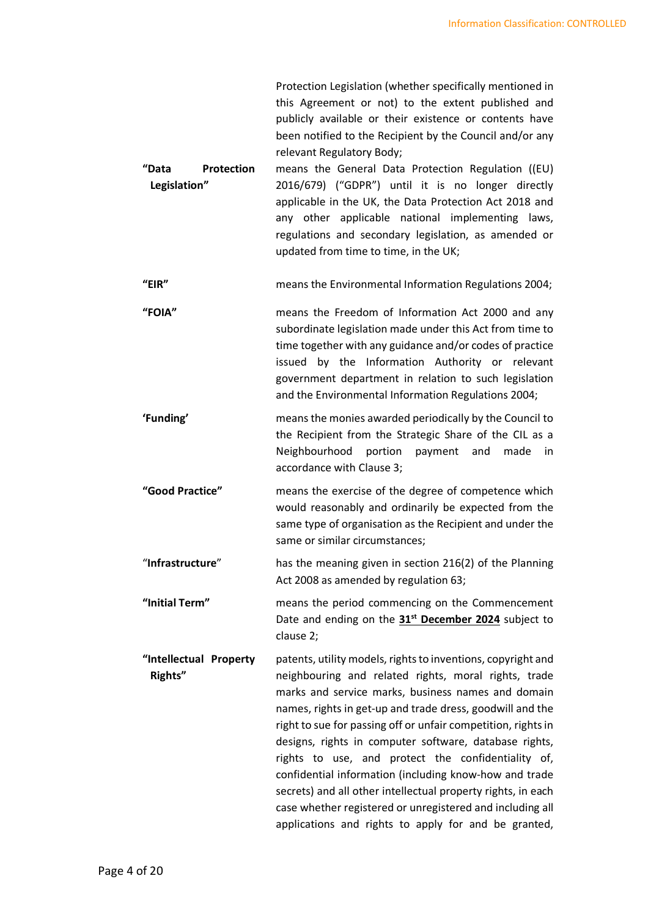Protection Legislation (whether specifically mentioned in this Agreement or not) to the extent published and publicly available or their existence or contents have been notified to the Recipient by the Council and/or any relevant Regulatory Body;

- "Data Protection Legislation" means the General Data Protection Regulation ((EU) 2016/679) ("GDPR") until it is no longer directly applicable in the UK, the Data Protection Act 2018 and any other applicable national implementing laws, regulations and secondary legislation, as amended or updated from time to time, in the UK;
- "EIR" means the Environmental Information Regulations 2004;
- "FOIA" means the Freedom of Information Act 2000 and any subordinate legislation made under this Act from time to time together with any guidance and/or codes of practice issued by the Information Authority or relevant government department in relation to such legislation and the Environmental Information Regulations 2004;
- 'Funding' means the monies awarded periodically by the Council to the Recipient from the Strategic Share of the CIL as a Neighbourhood portion payment and made in accordance with Clause 3;
- "Good Practice" means the exercise of the degree of competence which would reasonably and ordinarily be expected from the same type of organisation as the Recipient and under the same or similar circumstances;
- "Infrastructure" has the meaning given in section 216(2) of the Planning Act 2008 as amended by regulation 63;
- "Initial Term" means the period commencing on the Commencement Date and ending on the 31<sup>st</sup> December 2024 subject to clause 2;
- "Intellectual Property Rights" patents, utility models, rights to inventions, copyright and neighbouring and related rights, moral rights, trade marks and service marks, business names and domain names, rights in get-up and trade dress, goodwill and the right to sue for passing off or unfair competition, rights in designs, rights in computer software, database rights, rights to use, and protect the confidentiality of, confidential information (including know-how and trade secrets) and all other intellectual property rights, in each case whether registered or unregistered and including all applications and rights to apply for and be granted,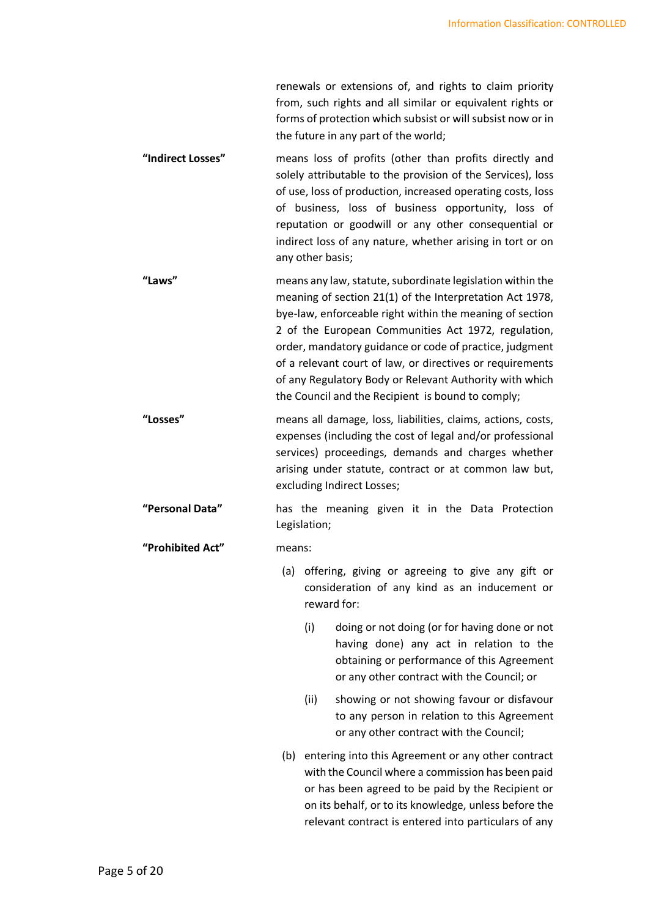renewals or extensions of, and rights to claim priority from, such rights and all similar or equivalent rights or forms of protection which subsist or will subsist now or in the future in any part of the world;

- "Indirect Losses" means loss of profits (other than profits directly and solely attributable to the provision of the Services), loss of use, loss of production, increased operating costs, loss of business, loss of business opportunity, loss of reputation or goodwill or any other consequential or indirect loss of any nature, whether arising in tort or on any other basis;
- "Laws" means any law, statute, subordinate legislation within the meaning of section 21(1) of the Interpretation Act 1978, bye-law, enforceable right within the meaning of section 2 of the European Communities Act 1972, regulation, order, mandatory guidance or code of practice, judgment of a relevant court of law, or directives or requirements of any Regulatory Body or Relevant Authority with which the Council and the Recipient is bound to comply;
- "Losses" means all damage, loss, liabilities, claims, actions, costs, expenses (including the cost of legal and/or professional services) proceedings, demands and charges whether arising under statute, contract or at common law but, excluding Indirect Losses;
- "Personal Data" has the meaning given it in the Data Protection Legislation;

# "Prohibited Act" means:

- (a) offering, giving or agreeing to give any gift or consideration of any kind as an inducement or reward for:
	- (i) doing or not doing (or for having done or not having done) any act in relation to the obtaining or performance of this Agreement or any other contract with the Council; or
	- (ii) showing or not showing favour or disfavour to any person in relation to this Agreement or any other contract with the Council;
- (b) entering into this Agreement or any other contract with the Council where a commission has been paid or has been agreed to be paid by the Recipient or on its behalf, or to its knowledge, unless before the relevant contract is entered into particulars of any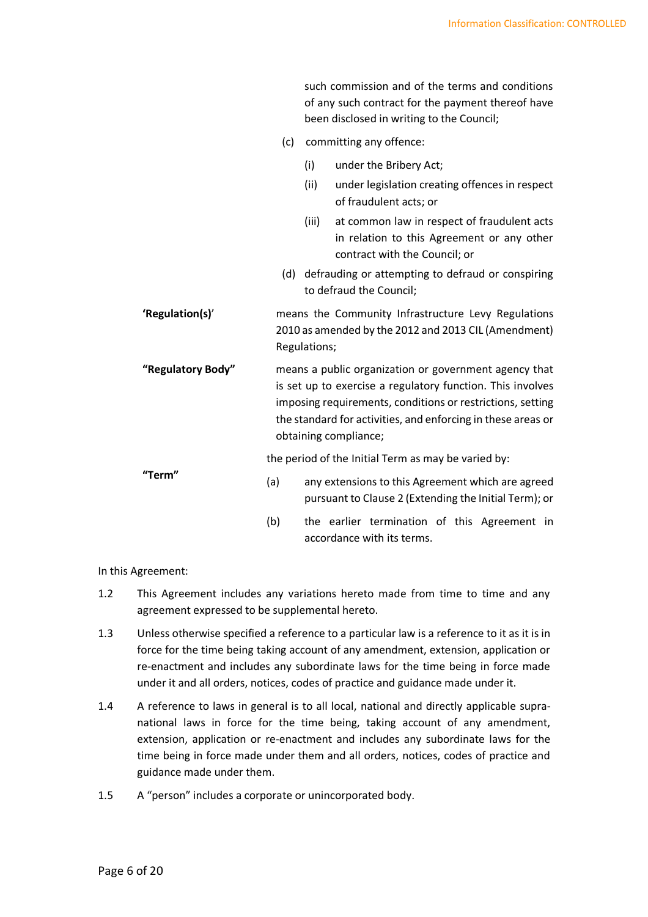|                   |     |              | such commission and of the terms and conditions<br>of any such contract for the payment thereof have<br>been disclosed in writing to the Council;                                                                                                                          |
|-------------------|-----|--------------|----------------------------------------------------------------------------------------------------------------------------------------------------------------------------------------------------------------------------------------------------------------------------|
|                   | (c) |              | committing any offence:                                                                                                                                                                                                                                                    |
|                   |     | (i)          | under the Bribery Act;                                                                                                                                                                                                                                                     |
|                   |     | (ii)         | under legislation creating offences in respect<br>of fraudulent acts; or                                                                                                                                                                                                   |
|                   |     | (iii)        | at common law in respect of fraudulent acts<br>in relation to this Agreement or any other<br>contract with the Council; or                                                                                                                                                 |
|                   | (d) |              | defrauding or attempting to defraud or conspiring<br>to defraud the Council;                                                                                                                                                                                               |
| 'Regulation(s)'   |     | Regulations; | means the Community Infrastructure Levy Regulations<br>2010 as amended by the 2012 and 2013 CIL (Amendment)                                                                                                                                                                |
| "Regulatory Body" |     |              | means a public organization or government agency that<br>is set up to exercise a regulatory function. This involves<br>imposing requirements, conditions or restrictions, setting<br>the standard for activities, and enforcing in these areas or<br>obtaining compliance; |
|                   |     |              | the period of the Initial Term as may be varied by:                                                                                                                                                                                                                        |
| "Term"            | (a) |              | any extensions to this Agreement which are agreed<br>pursuant to Clause 2 (Extending the Initial Term); or                                                                                                                                                                 |
|                   | (b) |              | the earlier termination of this Agreement in<br>accordance with its terms.                                                                                                                                                                                                 |

In this Agreement:

- 1.2 This Agreement includes any variations hereto made from time to time and any agreement expressed to be supplemental hereto.
- 1.3 Unless otherwise specified a reference to a particular law is a reference to it as it is in force for the time being taking account of any amendment, extension, application or re-enactment and includes any subordinate laws for the time being in force made under it and all orders, notices, codes of practice and guidance made under it.
- 1.4 A reference to laws in general is to all local, national and directly applicable supranational laws in force for the time being, taking account of any amendment, extension, application or re-enactment and includes any subordinate laws for the time being in force made under them and all orders, notices, codes of practice and guidance made under them.
- 1.5 A "person" includes a corporate or unincorporated body.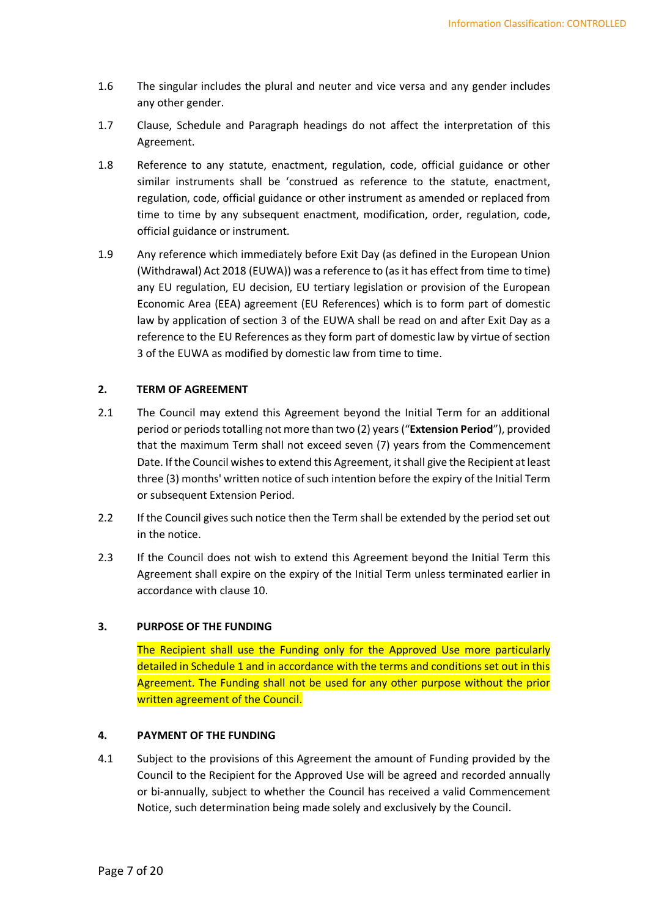- 1.6 The singular includes the plural and neuter and vice versa and any gender includes any other gender.
- 1.7 Clause, Schedule and Paragraph headings do not affect the interpretation of this Agreement.
- 1.8 Reference to any statute, enactment, regulation, code, official guidance or other similar instruments shall be 'construed as reference to the statute, enactment, regulation, code, official guidance or other instrument as amended or replaced from time to time by any subsequent enactment, modification, order, regulation, code, official guidance or instrument.
- 1.9 Any reference which immediately before Exit Day (as defined in the European Union (Withdrawal) Act 2018 (EUWA)) was a reference to (as it has effect from time to time) any EU regulation, EU decision, EU tertiary legislation or provision of the European Economic Area (EEA) agreement (EU References) which is to form part of domestic law by application of section 3 of the EUWA shall be read on and after Exit Day as a reference to the EU References as they form part of domestic law by virtue of section 3 of the EUWA as modified by domestic law from time to time.

# 2. TERM OF AGREEMENT

- 2.1 The Council may extend this Agreement beyond the Initial Term for an additional period or periods totalling not more than two (2) years ("Extension Period"), provided that the maximum Term shall not exceed seven (7) years from the Commencement Date. If the Council wishes to extend this Agreement, it shall give the Recipient at least three (3) months' written notice of such intention before the expiry of the Initial Term or subsequent Extension Period.
- 2.2 If the Council gives such notice then the Term shall be extended by the period set out in the notice.
- 2.3 If the Council does not wish to extend this Agreement beyond the Initial Term this Agreement shall expire on the expiry of the Initial Term unless terminated earlier in accordance with clause 10.

# 3. PURPOSE OF THE FUNDING

 The Recipient shall use the Funding only for the Approved Use more particularly detailed in Schedule 1 and in accordance with the terms and conditions set out in this Agreement. The Funding shall not be used for any other purpose without the prior written agreement of the Council.

# 4. PAYMENT OF THE FUNDING

4.1 Subject to the provisions of this Agreement the amount of Funding provided by the Council to the Recipient for the Approved Use will be agreed and recorded annually or bi-annually, subject to whether the Council has received a valid Commencement Notice, such determination being made solely and exclusively by the Council.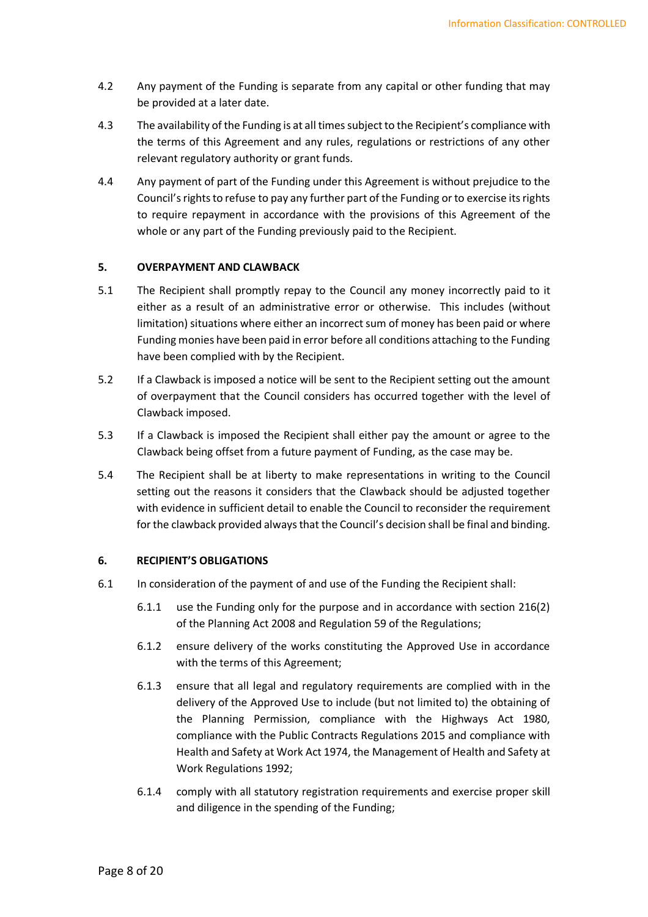- 4.2 Any payment of the Funding is separate from any capital or other funding that may be provided at a later date.
- 4.3 The availability of the Funding is at all times subject to the Recipient's compliance with the terms of this Agreement and any rules, regulations or restrictions of any other relevant regulatory authority or grant funds.
- 4.4 Any payment of part of the Funding under this Agreement is without prejudice to the Council's rights to refuse to pay any further part of the Funding or to exercise its rights to require repayment in accordance with the provisions of this Agreement of the whole or any part of the Funding previously paid to the Recipient.

# 5. OVERPAYMENT AND CLAWBACK

- 5.1 The Recipient shall promptly repay to the Council any money incorrectly paid to it either as a result of an administrative error or otherwise. This includes (without limitation) situations where either an incorrect sum of money has been paid or where Funding monies have been paid in error before all conditions attaching to the Funding have been complied with by the Recipient.
- 5.2 If a Clawback is imposed a notice will be sent to the Recipient setting out the amount of overpayment that the Council considers has occurred together with the level of Clawback imposed.
- 5.3 If a Clawback is imposed the Recipient shall either pay the amount or agree to the Clawback being offset from a future payment of Funding, as the case may be.
- 5.4 The Recipient shall be at liberty to make representations in writing to the Council setting out the reasons it considers that the Clawback should be adjusted together with evidence in sufficient detail to enable the Council to reconsider the requirement for the clawback provided always that the Council's decision shall be final and binding.

# 6. RECIPIENT'S OBLIGATIONS

- 6.1 In consideration of the payment of and use of the Funding the Recipient shall:
	- 6.1.1 use the Funding only for the purpose and in accordance with section 216(2) of the Planning Act 2008 and Regulation 59 of the Regulations;
	- 6.1.2 ensure delivery of the works constituting the Approved Use in accordance with the terms of this Agreement;
	- 6.1.3 ensure that all legal and regulatory requirements are complied with in the delivery of the Approved Use to include (but not limited to) the obtaining of the Planning Permission, compliance with the Highways Act 1980, compliance with the Public Contracts Regulations 2015 and compliance with Health and Safety at Work Act 1974, the Management of Health and Safety at Work Regulations 1992;
	- 6.1.4 comply with all statutory registration requirements and exercise proper skill and diligence in the spending of the Funding;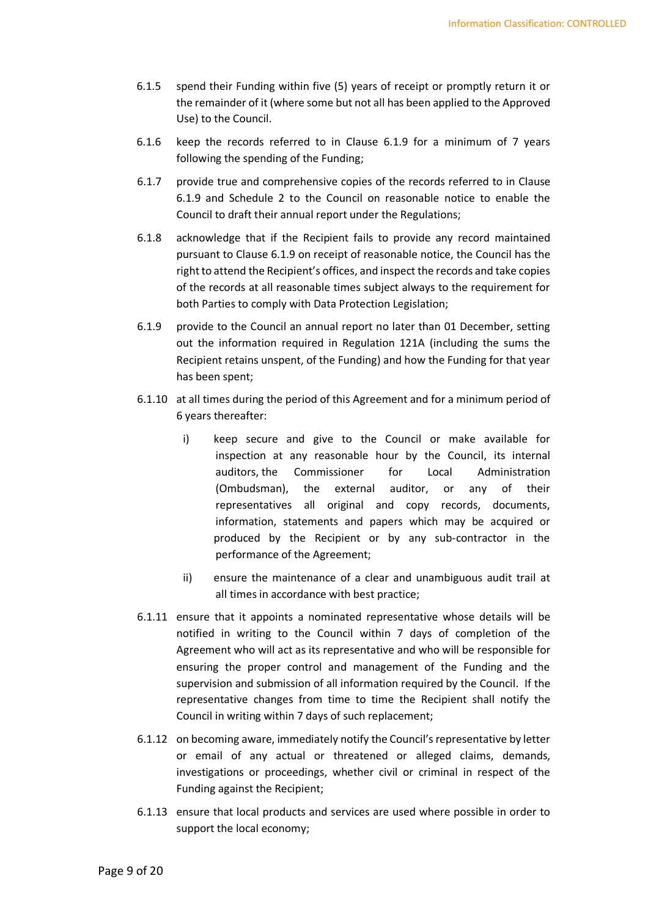- 6.1.5 spend their Funding within five (5) years of receipt or promptly return it or the remainder of it (where some but not all has been applied to the Approved Use) to the Council.
- 6.1.6 keep the records referred to in Clause 6.1.9 for a minimum of 7 years following the spending of the Funding;
- 6.1.7 provide true and comprehensive copies of the records referred to in Clause 6.1.9 and Schedule 2 to the Council on reasonable notice to enable the Council to draft their annual report under the Regulations;
- 6.1.8 acknowledge that if the Recipient fails to provide any record maintained pursuant to Clause 6.1.9 on receipt of reasonable notice, the Council has the right to attend the Recipient's offices, and inspect the records and take copies of the records at all reasonable times subject always to the requirement for both Parties to comply with Data Protection Legislation;
- 6.1.9 provide to the Council an annual report no later than 01 December, setting out the information required in Regulation 121A (including the sums the Recipient retains unspent, of the Funding) and how the Funding for that year has been spent;
- 6.1.10 at all times during the period of this Agreement and for a minimum period of 6 years thereafter:
	- i) keep secure and give to the Council or make available for inspection at any reasonable hour by the Council, its internal auditors, the Commissioner for Local Administration (Ombudsman), the external auditor, or any of their representatives all original and copy records, documents, information, statements and papers which may be acquired or produced by the Recipient or by any sub-contractor in the performance of the Agreement;
	- ii) ensure the maintenance of a clear and unambiguous audit trail at all times in accordance with best practice;
- 6.1.11 ensure that it appoints a nominated representative whose details will be notified in writing to the Council within 7 days of completion of the Agreement who will act as its representative and who will be responsible for ensuring the proper control and management of the Funding and the supervision and submission of all information required by the Council. If the representative changes from time to time the Recipient shall notify the Council in writing within 7 days of such replacement;
- 6.1.12 on becoming aware, immediately notify the Council's representative by letter or email of any actual or threatened or alleged claims, demands, investigations or proceedings, whether civil or criminal in respect of the Funding against the Recipient;
- 6.1.13 ensure that local products and services are used where possible in order to support the local economy;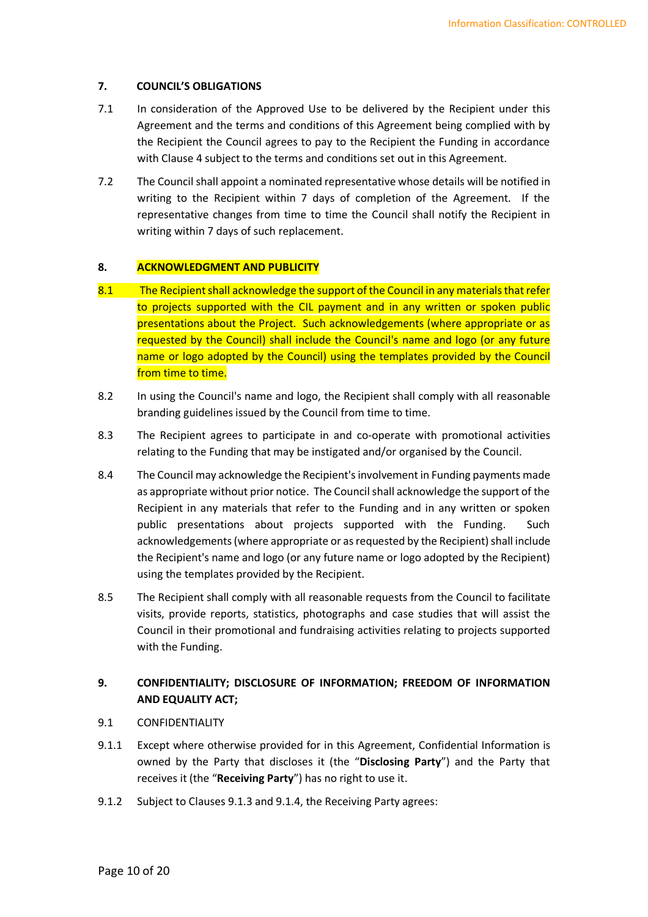# 7. COUNCIL'S OBLIGATIONS

- 7.1 In consideration of the Approved Use to be delivered by the Recipient under this Agreement and the terms and conditions of this Agreement being complied with by the Recipient the Council agrees to pay to the Recipient the Funding in accordance with Clause 4 subject to the terms and conditions set out in this Agreement.
- 7.2 The Council shall appoint a nominated representative whose details will be notified in writing to the Recipient within 7 days of completion of the Agreement. If the representative changes from time to time the Council shall notify the Recipient in writing within 7 days of such replacement.

# 8. ACKNOWLEDGMENT AND PUBLICITY

- 8.1 The Recipient shall acknowledge the support of the Council in any materials that refer to projects supported with the CIL payment and in any written or spoken public presentations about the Project. Such acknowledgements (where appropriate or as requested by the Council) shall include the Council's name and logo (or any future name or logo adopted by the Council) using the templates provided by the Council from time to time.
- 8.2 In using the Council's name and logo, the Recipient shall comply with all reasonable branding guidelines issued by the Council from time to time.
- 8.3 The Recipient agrees to participate in and co-operate with promotional activities relating to the Funding that may be instigated and/or organised by the Council.
- 8.4 The Council may acknowledge the Recipient's involvement in Funding payments made as appropriate without prior notice. The Council shall acknowledge the support of the Recipient in any materials that refer to the Funding and in any written or spoken public presentations about projects supported with the Funding. Such acknowledgements (where appropriate or as requested by the Recipient) shall include the Recipient's name and logo (or any future name or logo adopted by the Recipient) using the templates provided by the Recipient.
- 8.5 The Recipient shall comply with all reasonable requests from the Council to facilitate visits, provide reports, statistics, photographs and case studies that will assist the Council in their promotional and fundraising activities relating to projects supported with the Funding.

# 9. CONFIDENTIALITY; DISCLOSURE OF INFORMATION; FREEDOM OF INFORMATION AND EQUALITY ACT;

- 9.1 CONFIDENTIALITY
- 9.1.1 Except where otherwise provided for in this Agreement, Confidential Information is owned by the Party that discloses it (the "Disclosing Party") and the Party that receives it (the "Receiving Party") has no right to use it.
- 9.1.2 Subject to Clauses 9.1.3 and 9.1.4, the Receiving Party agrees: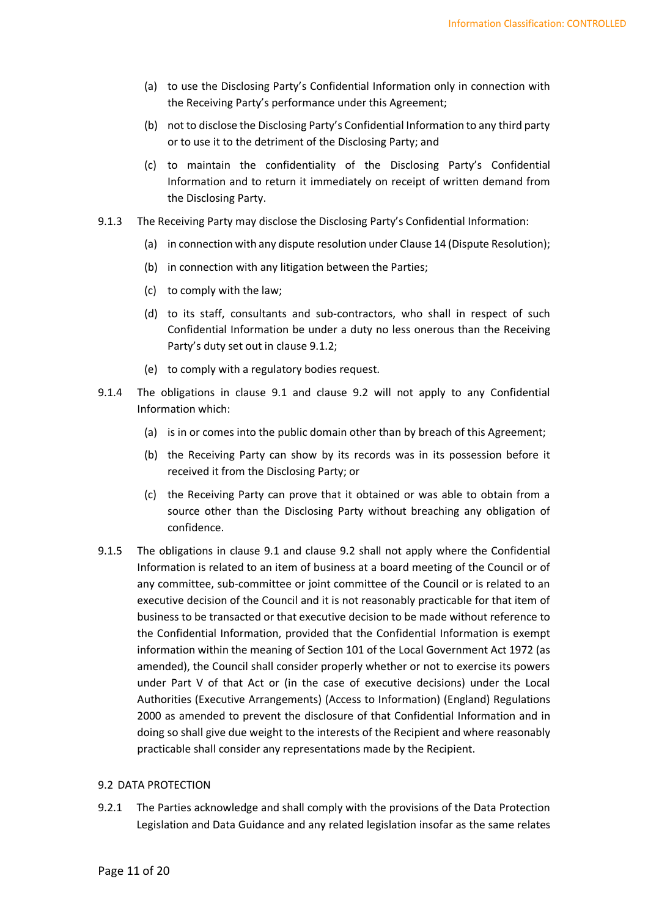- (a) to use the Disclosing Party's Confidential Information only in connection with the Receiving Party's performance under this Agreement;
- (b) not to disclose the Disclosing Party's Confidential Information to any third party or to use it to the detriment of the Disclosing Party; and
- (c) to maintain the confidentiality of the Disclosing Party's Confidential Information and to return it immediately on receipt of written demand from the Disclosing Party.
- 9.1.3 The Receiving Party may disclose the Disclosing Party's Confidential Information:
	- (a) in connection with any dispute resolution under Clause 14 (Dispute Resolution);
	- (b) in connection with any litigation between the Parties;
	- (c) to comply with the law;
	- (d) to its staff, consultants and sub-contractors, who shall in respect of such Confidential Information be under a duty no less onerous than the Receiving Party's duty set out in clause 9.1.2;
	- (e) to comply with a regulatory bodies request.
- 9.1.4 The obligations in clause 9.1 and clause 9.2 will not apply to any Confidential Information which:
	- (a) is in or comes into the public domain other than by breach of this Agreement;
	- (b) the Receiving Party can show by its records was in its possession before it received it from the Disclosing Party; or
	- (c) the Receiving Party can prove that it obtained or was able to obtain from a source other than the Disclosing Party without breaching any obligation of confidence.
- 9.1.5 The obligations in clause 9.1 and clause 9.2 shall not apply where the Confidential Information is related to an item of business at a board meeting of the Council or of any committee, sub-committee or joint committee of the Council or is related to an executive decision of the Council and it is not reasonably practicable for that item of business to be transacted or that executive decision to be made without reference to the Confidential Information, provided that the Confidential Information is exempt information within the meaning of Section 101 of the Local Government Act 1972 (as amended), the Council shall consider properly whether or not to exercise its powers under Part V of that Act or (in the case of executive decisions) under the Local Authorities (Executive Arrangements) (Access to Information) (England) Regulations 2000 as amended to prevent the disclosure of that Confidential Information and in doing so shall give due weight to the interests of the Recipient and where reasonably practicable shall consider any representations made by the Recipient.

#### 9.2 DATA PROTECTION

9.2.1 The Parties acknowledge and shall comply with the provisions of the Data Protection Legislation and Data Guidance and any related legislation insofar as the same relates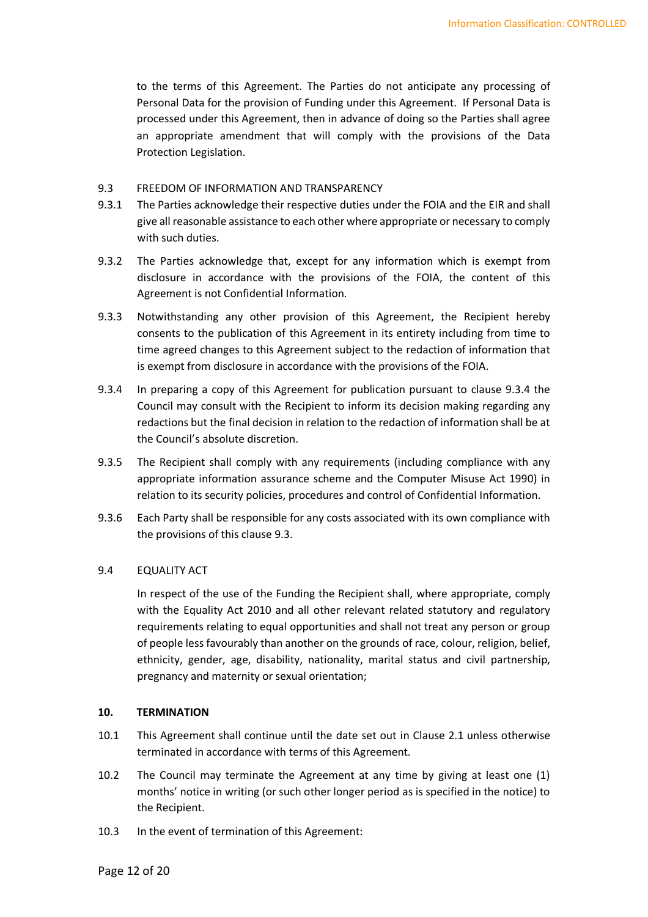to the terms of this Agreement. The Parties do not anticipate any processing of Personal Data for the provision of Funding under this Agreement. If Personal Data is processed under this Agreement, then in advance of doing so the Parties shall agree an appropriate amendment that will comply with the provisions of the Data Protection Legislation.

### 9.3 FREEDOM OF INFORMATION AND TRANSPARENCY

- 9.3.1 The Parties acknowledge their respective duties under the FOIA and the EIR and shall give all reasonable assistance to each other where appropriate or necessary to comply with such duties.
- 9.3.2 The Parties acknowledge that, except for any information which is exempt from disclosure in accordance with the provisions of the FOIA, the content of this Agreement is not Confidential Information.
- 9.3.3 Notwithstanding any other provision of this Agreement, the Recipient hereby consents to the publication of this Agreement in its entirety including from time to time agreed changes to this Agreement subject to the redaction of information that is exempt from disclosure in accordance with the provisions of the FOIA.
- 9.3.4 In preparing a copy of this Agreement for publication pursuant to clause 9.3.4 the Council may consult with the Recipient to inform its decision making regarding any redactions but the final decision in relation to the redaction of information shall be at the Council's absolute discretion.
- 9.3.5 The Recipient shall comply with any requirements (including compliance with any appropriate information assurance scheme and the Computer Misuse Act 1990) in relation to its security policies, procedures and control of Confidential Information.
- 9.3.6 Each Party shall be responsible for any costs associated with its own compliance with the provisions of this clause 9.3.

# 9.4 EQUALITY ACT

 In respect of the use of the Funding the Recipient shall, where appropriate, comply with the Equality Act 2010 and all other relevant related statutory and regulatory requirements relating to equal opportunities and shall not treat any person or group of people less favourably than another on the grounds of race, colour, religion, belief, ethnicity, gender, age, disability, nationality, marital status and civil partnership, pregnancy and maternity or sexual orientation;

#### 10. TERMINATION

- 10.1 This Agreement shall continue until the date set out in Clause 2.1 unless otherwise terminated in accordance with terms of this Agreement.
- 10.2 The Council may terminate the Agreement at any time by giving at least one (1) months' notice in writing (or such other longer period as is specified in the notice) to the Recipient.
- 10.3 In the event of termination of this Agreement: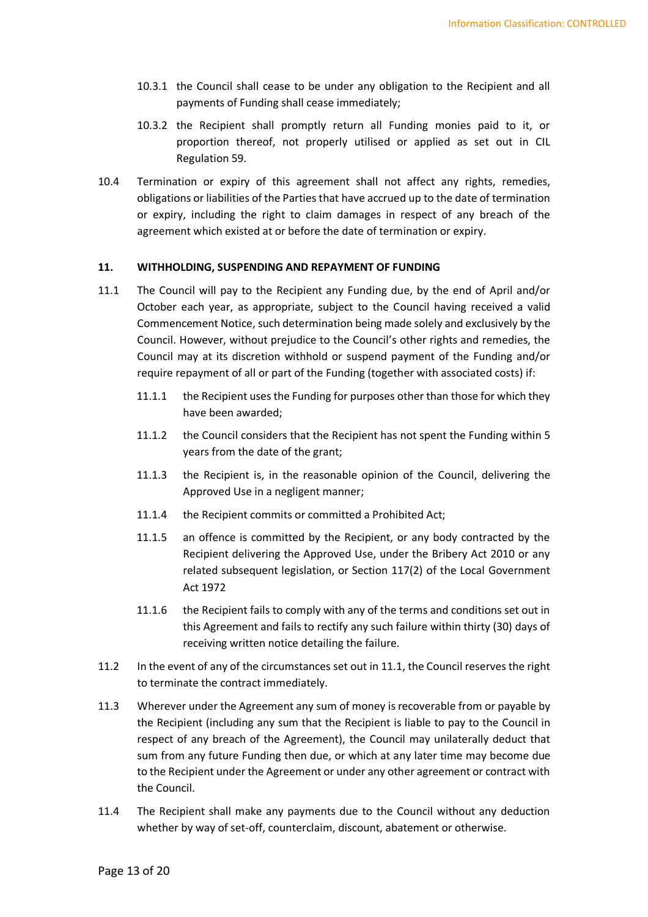- 10.3.1 the Council shall cease to be under any obligation to the Recipient and all payments of Funding shall cease immediately;
- 10.3.2 the Recipient shall promptly return all Funding monies paid to it, or proportion thereof, not properly utilised or applied as set out in CIL Regulation 59.
- 10.4 Termination or expiry of this agreement shall not affect any rights, remedies, obligations or liabilities of the Parties that have accrued up to the date of termination or expiry, including the right to claim damages in respect of any breach of the agreement which existed at or before the date of termination or expiry.

# 11. WITHHOLDING, SUSPENDING AND REPAYMENT OF FUNDING

- 11.1 The Council will pay to the Recipient any Funding due, by the end of April and/or October each year, as appropriate, subject to the Council having received a valid Commencement Notice, such determination being made solely and exclusively by the Council. However, without prejudice to the Council's other rights and remedies, the Council may at its discretion withhold or suspend payment of the Funding and/or require repayment of all or part of the Funding (together with associated costs) if:
	- 11.1.1 the Recipient uses the Funding for purposes other than those for which they have been awarded;
	- 11.1.2 the Council considers that the Recipient has not spent the Funding within 5 years from the date of the grant;
	- 11.1.3 the Recipient is, in the reasonable opinion of the Council, delivering the Approved Use in a negligent manner;
	- 11.1.4 the Recipient commits or committed a Prohibited Act;
	- 11.1.5 an offence is committed by the Recipient, or any body contracted by the Recipient delivering the Approved Use, under the Bribery Act 2010 or any related subsequent legislation, or Section 117(2) of the Local Government Act 1972
	- 11.1.6 the Recipient fails to comply with any of the terms and conditions set out in this Agreement and fails to rectify any such failure within thirty (30) days of receiving written notice detailing the failure.
- 11.2 In the event of any of the circumstances set out in 11.1, the Council reserves the right to terminate the contract immediately.
- 11.3 Wherever under the Agreement any sum of money is recoverable from or payable by the Recipient (including any sum that the Recipient is liable to pay to the Council in respect of any breach of the Agreement), the Council may unilaterally deduct that sum from any future Funding then due, or which at any later time may become due to the Recipient under the Agreement or under any other agreement or contract with the Council.
- 11.4 The Recipient shall make any payments due to the Council without any deduction whether by way of set-off, counterclaim, discount, abatement or otherwise.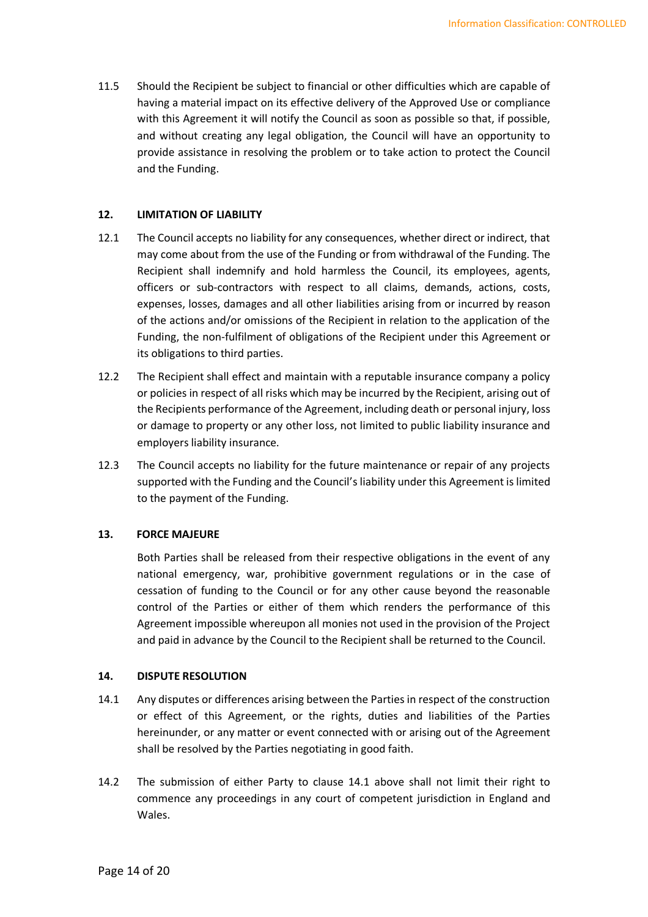11.5 Should the Recipient be subject to financial or other difficulties which are capable of having a material impact on its effective delivery of the Approved Use or compliance with this Agreement it will notify the Council as soon as possible so that, if possible, and without creating any legal obligation, the Council will have an opportunity to provide assistance in resolving the problem or to take action to protect the Council and the Funding.

# 12. LIMITATION OF LIABILITY

- 12.1 The Council accepts no liability for any consequences, whether direct or indirect, that may come about from the use of the Funding or from withdrawal of the Funding. The Recipient shall indemnify and hold harmless the Council, its employees, agents, officers or sub-contractors with respect to all claims, demands, actions, costs, expenses, losses, damages and all other liabilities arising from or incurred by reason of the actions and/or omissions of the Recipient in relation to the application of the Funding, the non-fulfilment of obligations of the Recipient under this Agreement or its obligations to third parties.
- 12.2 The Recipient shall effect and maintain with a reputable insurance company a policy or policies in respect of all risks which may be incurred by the Recipient, arising out of the Recipients performance of the Agreement, including death or personal injury, loss or damage to property or any other loss, not limited to public liability insurance and employers liability insurance.
- 12.3 The Council accepts no liability for the future maintenance or repair of any projects supported with the Funding and the Council's liability under this Agreement is limited to the payment of the Funding.

# 13. FORCE MAJEURE

Both Parties shall be released from their respective obligations in the event of any national emergency, war, prohibitive government regulations or in the case of cessation of funding to the Council or for any other cause beyond the reasonable control of the Parties or either of them which renders the performance of this Agreement impossible whereupon all monies not used in the provision of the Project and paid in advance by the Council to the Recipient shall be returned to the Council.

# 14. DISPUTE RESOLUTION

- 14.1 Any disputes or differences arising between the Parties in respect of the construction or effect of this Agreement, or the rights, duties and liabilities of the Parties hereinunder, or any matter or event connected with or arising out of the Agreement shall be resolved by the Parties negotiating in good faith.
- 14.2 The submission of either Party to clause 14.1 above shall not limit their right to commence any proceedings in any court of competent jurisdiction in England and Wales.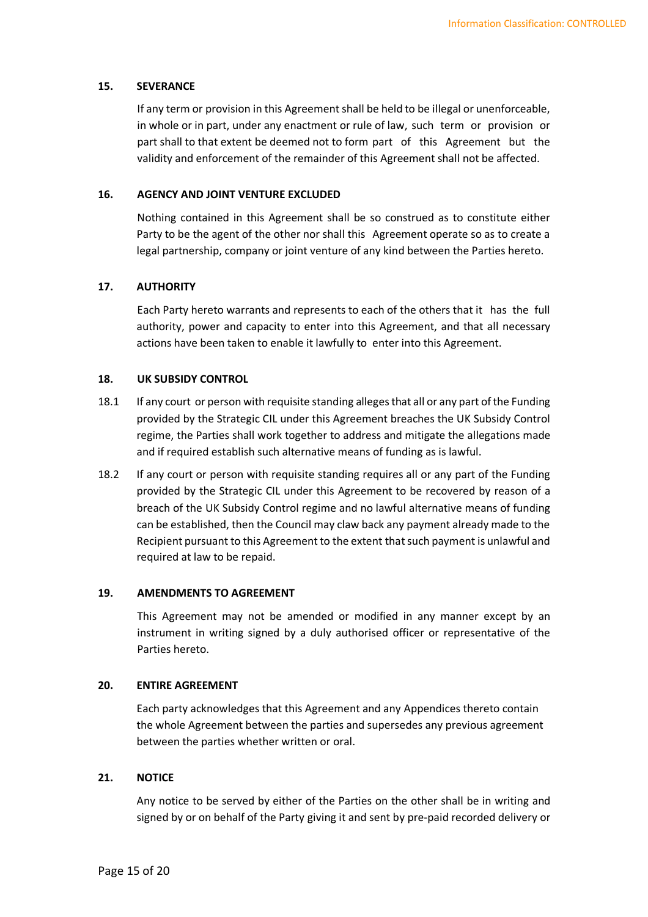# 15. SEVERANCE

If any term or provision in this Agreement shall be held to be illegal or unenforceable, in whole or in part, under any enactment or rule of law, such term or provision or part shall to that extent be deemed not to form part of this Agreement but the validity and enforcement of the remainder of this Agreement shall not be affected.

#### 16. AGENCY AND JOINT VENTURE EXCLUDED

 Nothing contained in this Agreement shall be so construed as to constitute either Party to be the agent of the other nor shall this Agreement operate so as to create a legal partnership, company or joint venture of any kind between the Parties hereto.

#### 17. AUTHORITY

 Each Party hereto warrants and represents to each of the others that it has the full authority, power and capacity to enter into this Agreement, and that all necessary actions have been taken to enable it lawfully to enter into this Agreement.

#### 18. UK SUBSIDY CONTROL

- 18.1 If any court or person with requisite standing alleges that all or any part of the Funding provided by the Strategic CIL under this Agreement breaches the UK Subsidy Control regime, the Parties shall work together to address and mitigate the allegations made and if required establish such alternative means of funding as is lawful.
- 18.2 If any court or person with requisite standing requires all or any part of the Funding provided by the Strategic CIL under this Agreement to be recovered by reason of a breach of the UK Subsidy Control regime and no lawful alternative means of funding can be established, then the Council may claw back any payment already made to the Recipient pursuant to this Agreement to the extent that such payment is unlawful and required at law to be repaid.

#### 19. AMENDMENTS TO AGREEMENT

 This Agreement may not be amended or modified in any manner except by an instrument in writing signed by a duly authorised officer or representative of the Parties hereto.

### 20. ENTIRE AGREEMENT

 Each party acknowledges that this Agreement and any Appendices thereto contain the whole Agreement between the parties and supersedes any previous agreement between the parties whether written or oral.

# 21. NOTICE

 Any notice to be served by either of the Parties on the other shall be in writing and signed by or on behalf of the Party giving it and sent by pre-paid recorded delivery or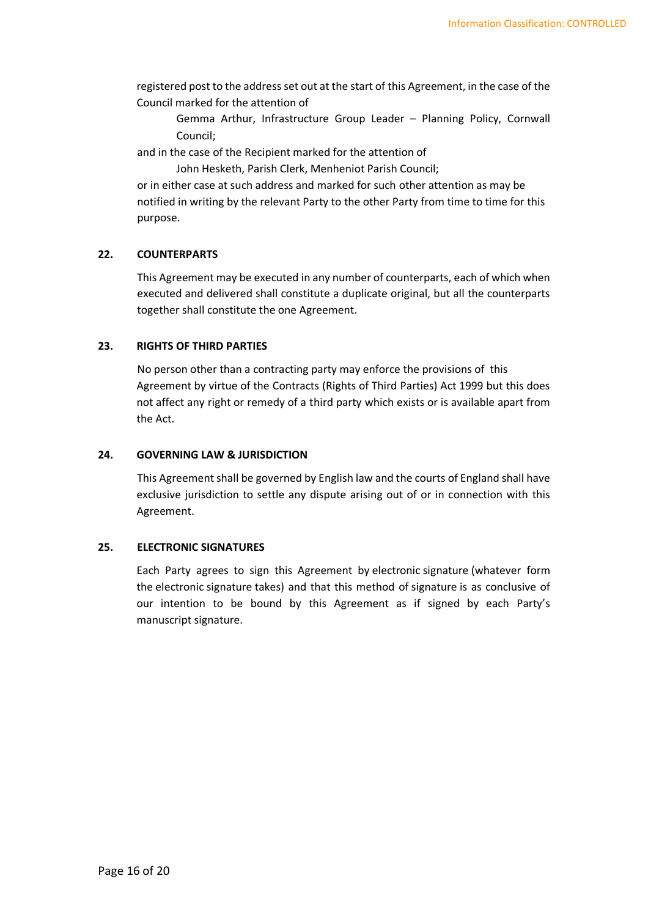registered post to the address set out at the start of this Agreement, in the case of the Council marked for the attention of

Gemma Arthur, Infrastructure Group Leader – Planning Policy, Cornwall Council;

and in the case of the Recipient marked for the attention of

John Hesketh, Parish Clerk, Menheniot Parish Council;

or in either case at such address and marked for such other attention as may be notified in writing by the relevant Party to the other Party from time to time for this purpose.

# 22. COUNTERPARTS

This Agreement may be executed in any number of counterparts, each of which when executed and delivered shall constitute a duplicate original, but all the counterparts together shall constitute the one Agreement.

# 23. RIGHTS OF THIRD PARTIES

 No person other than a contracting party may enforce the provisions of this Agreement by virtue of the Contracts (Rights of Third Parties) Act 1999 but this does not affect any right or remedy of a third party which exists or is available apart from the Act.

# 24. GOVERNING LAW & JURISDICTION

 This Agreement shall be governed by English law and the courts of England shall have exclusive jurisdiction to settle any dispute arising out of or in connection with this Agreement.

# 25. ELECTRONIC SIGNATURES

Each Party agrees to sign this Agreement by electronic signature (whatever form the electronic signature takes) and that this method of signature is as conclusive of our intention to be bound by this Agreement as if signed by each Party's manuscript signature.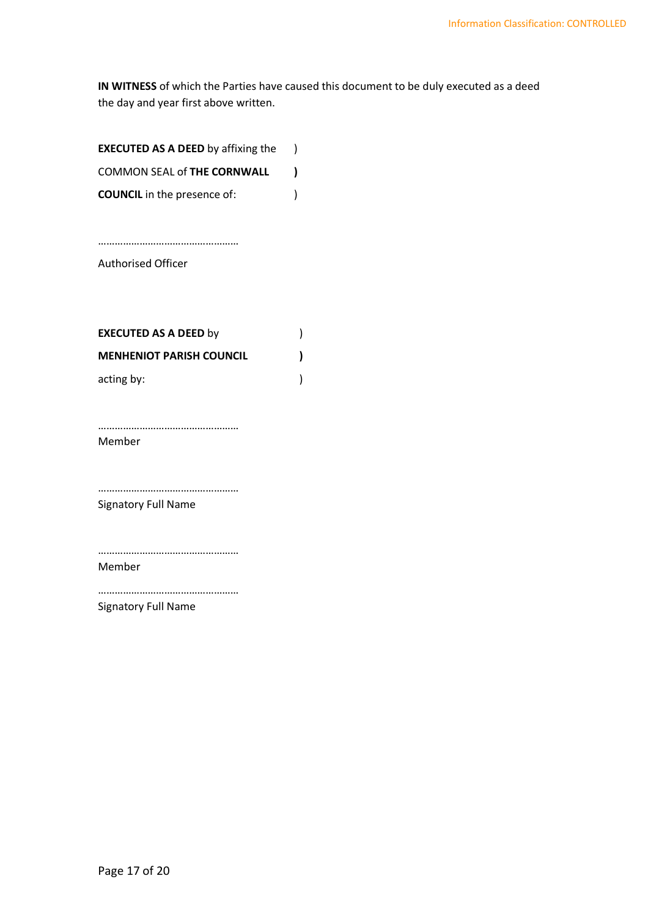IN WITNESS of which the Parties have caused this document to be duly executed as a deed the day and year first above written.

| <b>EXECUTED AS A DEED by affixing the</b> |  |
|-------------------------------------------|--|
| <b>COMMON SEAL of THE CORNWALL</b>        |  |
| <b>COUNCIL</b> in the presence of:        |  |

Authorised Officer

……………………………………………

| <b>EXECUTED AS A DEED by</b>    |  |
|---------------------------------|--|
| <b>MENHENIOT PARISH COUNCIL</b> |  |
| acting by:                      |  |

…………………………………………… Member

…………………………………………… Signatory Full Name

…………………………………………… Member

…………………………………………… Signatory Full Name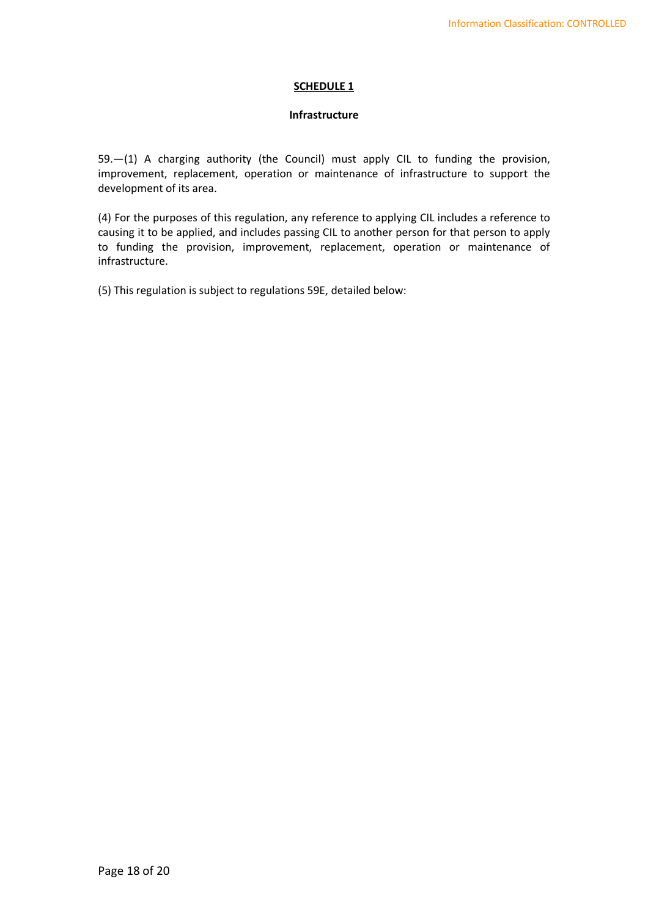# SCHEDULE 1

# Infrastructure

59.—(1) A charging authority (the Council) must apply CIL to funding the provision, improvement, replacement, operation or maintenance of infrastructure to support the development of its area.

(4) For the purposes of this regulation, any reference to applying CIL includes a reference to causing it to be applied, and includes passing CIL to another person for that person to apply to funding the provision, improvement, replacement, operation or maintenance of infrastructure.

(5) This regulation is subject to regulations 59E, detailed below: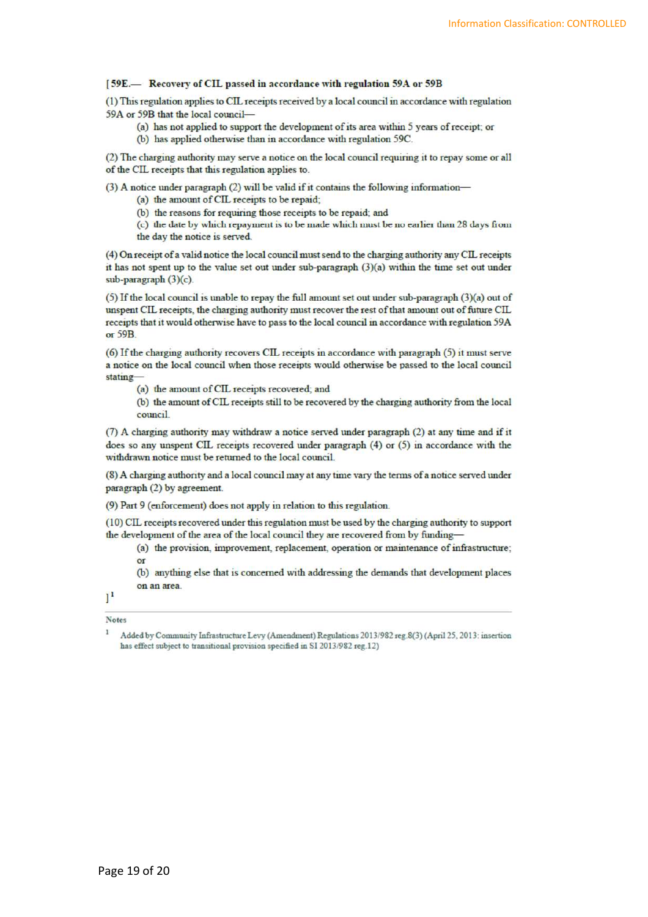#### [59E.- Recovery of CIL passed in accordance with regulation 59A or 59B

(1) This regulation applies to CIL receipts received by a local council in accordance with regulation 59A or 59B that the local council-

- (a) has not applied to support the development of its area within 5 years of receipt; or
- (b) has applied otherwise than in accordance with regulation 59C.

(2) The charging authority may serve a notice on the local council requiring it to repay some or all of the CIL receipts that this regulation applies to.

(3) A notice under paragraph (2) will be valid if it contains the following information-

- (a) the amount of CIL receipts to be repaid;
- (b) the reasons for requiring those receipts to be repaid; and
- (c) the date by which repayment is to be made which must be no earlier than 28 days from the day the notice is served.

(4) On receipt of a valid notice the local council must send to the charging authority any CIL receipts it has not spent up to the value set out under sub-paragraph (3)(a) within the time set out under sub-paragraph (3)(c).

(5) If the local council is unable to repay the full amount set out under sub-paragraph (3)(a) out of unspent CIL receipts, the charging authority must recover the rest of that amount out of future CIL receipts that it would otherwise have to pass to the local council in accordance with regulation 59A or 59B.

(6) If the charging authority recovers CIL receipts in accordance with paragraph (5) it must serve a notice on the local council when those receipts would otherwise be passed to the local council stating-

(a) the amount of CIL receipts recovered; and

(b) the amount of CIL receipts still to be recovered by the charging authority from the local council

(7) A charging authority may withdraw a notice served under paragraph (2) at any time and if it does so any unspent CIL receipts recovered under paragraph (4) or (5) in accordance with the withdrawn notice must be returned to the local council.

(8) A charging authority and a local council may at any time vary the terms of a notice served under paragraph (2) by agreement.

(9) Part 9 (enforcement) does not apply in relation to this regulation.

(10) CIL receipts recovered under this regulation must be used by the charging authority to support the development of the area of the local council they are recovered from by funding-

(a) the provision, improvement, replacement, operation or maintenance of infrastructure;  $\alpha$ r

(b) anything else that is concerned with addressing the demands that development places on an area.

 $1<sup>1</sup>$ 

Notes  $\bf I$ 

Added by Community Infrastructure Levy (Amendment) Regulations 2013/982 reg.8(3) (April 25, 2013: insertion has effect subject to transitional provision specified in SI 2013/982 reg.12)